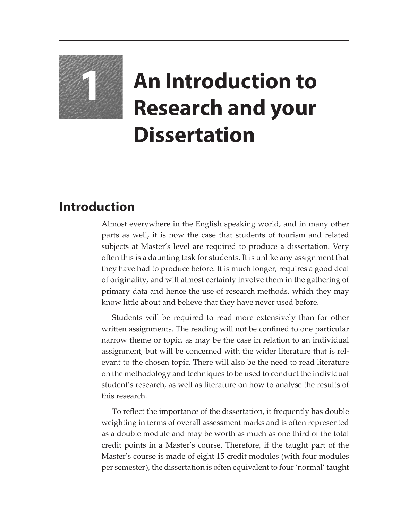

## **1 An Introduction to Research and your Dissertation**

## **Introduction**

Almost everywhere in the English speaking world, and in many other parts as well, it is now the case that students of tourism and related subjects at Master's level are required to produce a dissertation. Very often this is a daunting task for students. It is unlike any assignment that they have had to produce before. It is much longer, requires a good deal of originality, and will almost certainly involve them in the gathering of primary data and hence the use of research methods, which they may know little about and believe that they have never used before.

Students will be required to read more extensively than for other written assignments. The reading will not be confined to one particular narrow theme or topic, as may be the case in relation to an individual assignment, but will be concerned with the wider literature that is relevant to the chosen topic. There will also be the need to read literature on the methodology and techniques to be used to conduct the individual student's research, as well as literature on how to analyse the results of this research.

To reflect the importance of the dissertation, it frequently has double weighting in terms of overall assessment marks and is often represented as a double module and may be worth as much as one third of the total credit points in a Master's course. Therefore, if the taught part of the Master's course is made of eight 15 credit modules (with four modules per semester), the dissertation is often equivalent to four 'normal' taught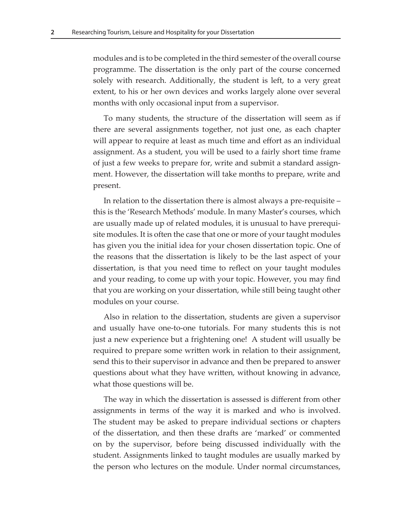modules and is to be completed in the third semester of the overall course programme. The dissertation is the only part of the course concerned solely with research. Additionally, the student is left, to a very great extent, to his or her own devices and works largely alone over several months with only occasional input from a supervisor.

To many students, the structure of the dissertation will seem as if there are several assignments together, not just one, as each chapter will appear to require at least as much time and effort as an individual assignment. As a student, you will be used to a fairly short time frame of just a few weeks to prepare for, write and submit a standard assignment. However, the dissertation will take months to prepare, write and present.

In relation to the dissertation there is almost always a pre-requisite – this is the 'Research Methods' module. In many Master's courses, which are usually made up of related modules, it is unusual to have prerequisite modules. It is often the case that one or more of your taught modules has given you the initial idea for your chosen dissertation topic. One of the reasons that the dissertation is likely to be the last aspect of your dissertation, is that you need time to reflect on your taught modules and your reading, to come up with your topic. However, you may find that you are working on your dissertation, while still being taught other modules on your course.

Also in relation to the dissertation, students are given a supervisor and usually have one-to-one tutorials. For many students this is not just a new experience but a frightening one! A student will usually be required to prepare some written work in relation to their assignment, send this to their supervisor in advance and then be prepared to answer questions about what they have written, without knowing in advance, what those questions will be.

The way in which the dissertation is assessed is different from other assignments in terms of the way it is marked and who is involved. The student may be asked to prepare individual sections or chapters of the dissertation, and then these drafts are 'marked' or commented on by the supervisor, before being discussed individually with the student. Assignments linked to taught modules are usually marked by the person who lectures on the module. Under normal circumstances,